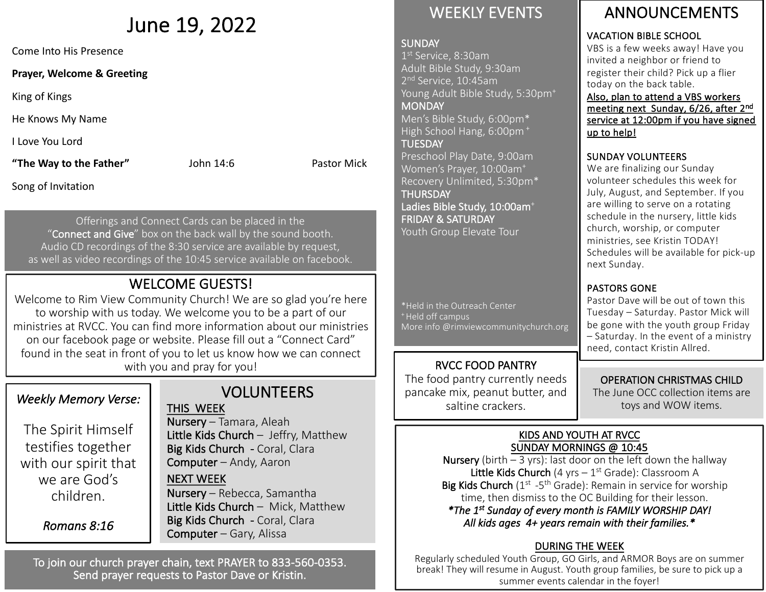# June 19, 2022

Come Into His Presence

**Prayer, Welcome & Greeting**

King of Kings

He Knows My Name

I Love You Lord

**"The Way to the Father"** John 14:6 Pastor Mick

Song of Invitation

Offerings and Connect Cards can be placed in the "Connect and Give" box on the back wall by the sound booth. Audio CD recordings of the 8:30 service are available by request, as well as video recordings of the 10:45 service available on facebook.

# WELCOME GUESTS!

Welcome to Rim View Community Church! We are so glad you're here to worship with us today. We welcome you to be a part of our ministries at RVCC. You can find more information about our ministries on our facebook page or website. Please fill out a "Connect Card" found in the seat in front of you to let us know how we can connect with you and pray for you!

## *Weekly Memory Verse:*

The Spirit Himself testifies together with our spirit that we are God's children.

*Romans 8:16*

# VOLUNTEERS

### THIS WEEK

Nursery – Tamara, Aleah Little Kids Church – Jeffry, Matthew Big Kids Church - Coral, Clara Computer – Andy, Aaron

### NEXT WEEK

Nursery – Rebecca, Samantha Little Kids Church – Mick, Matthew Big Kids Church - Coral, Clara Computer – Gary, Alissa

To join our church prayer chain, text PRAYER to 833-560-0353. Send prayer requests to Pastor Dave or Kristin.

## WEEKLY EVENTS

#### **SUNDAY**

1st Service, 8:30am Adult Bible Study, 9:30am 2<sup>nd</sup> Service, 10:45am Young Adult Bible Study, 5:30pm<sup>+</sup> **MONDAY** Men's Bible Study, 6:00pm\* High School Hang, 6:00pm<sup>+</sup> **TUESDAY** 

Preschool Play Date, 9:00am Women's Prayer, 10:00am+ Recovery Unlimited, 5:30pm\* **THURSDAY** Ladies Bible Study, 10:00am<sup>+</sup> FRIDAY & SATURDAY Youth Group Elevate Tour

\*Held in the Outreach Center + Held off campus More info @rimviewcommunitychurch.org

### RVCC FOOD PANTRY

The food pantry currently needs pancake mix, peanut butter, and saltine crackers.

# ANNOUNCEMENTS

### VACATION BIBLE SCHOOL

VBS is a few weeks away! Have you invited a neighbor or friend to register their child? Pick up a flier today on the back table.

Also, plan to attend a VBS workers meeting next Sunday, 6/26, after 2nd service at 12:00pm if you have signed up to help!

### SUNDAY VOLUNTEERS

We are finalizing our Sunday volunteer schedules this week for July, August, and September. If you are willing to serve on a rotating schedule in the nursery, little kids church, worship, or computer ministries, see Kristin TODAY! Schedules will be available for pick-up next Sunday.

### PASTORS GONE

Pastor Dave will be out of town this Tuesday – Saturday. Pastor Mick will be gone with the youth group Friday – Saturday. In the event of a ministry need, contact Kristin Allred.

### OPERATION CHRISTMAS CHILD

The June OCC collection items are toys and WOW items.

#### KIDS AND YOUTH AT RVCC SUNDAY MORNINGS @ 10:45

Nursery (birth  $-3$  yrs): last door on the left down the hallway Little Kids Church (4 yrs  $-1^{st}$  Grade): Classroom A Big Kids Church  $(1^{st} -5^{th}$  Grade): Remain in service for worship time, then dismiss to the OC Building for their lesson. *\*The 1st Sunday of every month is FAMILY WORSHIP DAY! All kids ages 4+ years remain with their families.\**

### DURING THE WEEK

Regularly scheduled Youth Group, GO Girls, and ARMOR Boys are on summer break! They will resume in August. Youth group families, be sure to pick up a summer events calendar in the foyer!